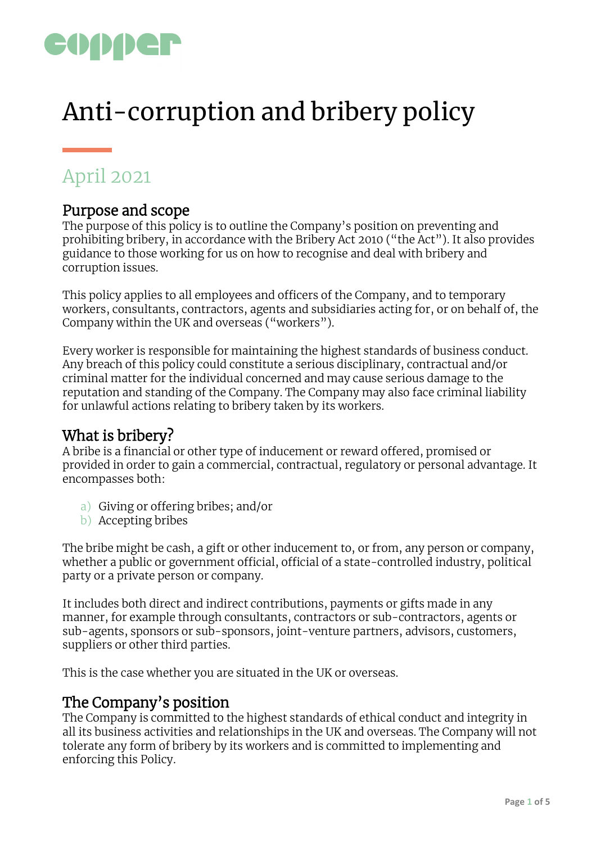

# Anti-corruption and bribery policy

# April 2021

#### Purpose and scope

The purpose of this policy is to outline the Company's position on preventing and prohibiting bribery, in accordance with the Bribery Act 2010 ("the Act"). It also provides guidance to those working for us on how to recognise and deal with bribery and corruption issues.

This policy applies to all employees and officers of the Company, and to temporary workers, consultants, contractors, agents and subsidiaries acting for, or on behalf of, the Company within the UK and overseas ("workers").

Every worker is responsible for maintaining the highest standards of business conduct. Any breach of this policy could constitute a serious disciplinary, contractual and/or criminal matter for the individual concerned and may cause serious damage to the reputation and standing of the Company. The Company may also face criminal liability for unlawful actions relating to bribery taken by its workers.

# What is bribery?

A bribe is a financial or other type of inducement or reward offered, promised or provided in order to gain a commercial, contractual, regulatory or personal advantage. It encompasses both:

- a) Giving or offering bribes; and/or
- b) Accepting bribes

The bribe might be cash, a gift or other inducement to, or from, any person or company, whether a public or government official, official of a state-controlled industry, political party or a private person or company.

It includes both direct and indirect contributions, payments or gifts made in any manner, for example through consultants, contractors or sub-contractors, agents or sub-agents, sponsors or sub-sponsors, joint-venture partners, advisors, customers, suppliers or other third parties.

This is the case whether you are situated in the UK or overseas.

#### The Company's position

The Company is committed to the highest standards of ethical conduct and integrity in all its business activities and relationships in the UK and overseas. The Company will not tolerate any form of bribery by its workers and is committed to implementing and enforcing this Policy.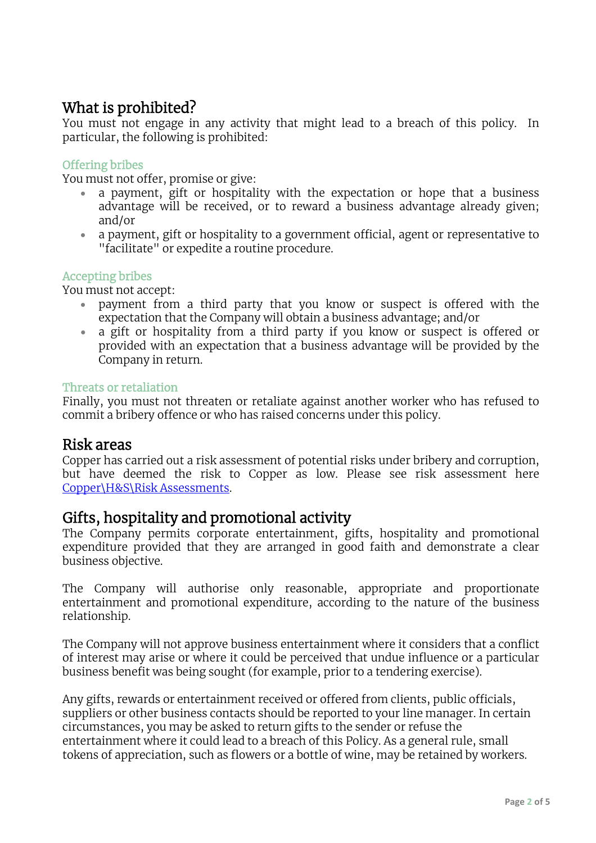# What is prohibited?

You must not engage in any activity that might lead to a breach of this policy. In particular, the following is prohibited:

#### Offering bribes

You must not offer, promise or give:

- a payment, gift or hospitality with the expectation or hope that a business advantage will be received, or to reward a business advantage already given; and/or
- a payment, gift or hospitality to a government official, agent or representative to "facilitate" or expedite a routine procedure.

#### Accepting bribes

You must not accept:

- payment from a third party that you know or suspect is offered with the expectation that the Company will obtain a business advantage; and/or
- a gift or hospitality from a third party if you know or suspect is offered or provided with an expectation that a business advantage will be provided by the Company in return.

#### Threats or retaliation

Finally, you must not threaten or retaliate against another worker who has refused to commit a bribery offence or who has raised concerns under this policy.

#### Risk areas

Copper has carried out a risk assessment of potential risks under bribery and corruption, but have deemed the risk to Copper as low. Please see risk assessment here Copper\H&S\Risk Assessments.

#### Gifts, hospitality and promotional activity

The Company permits corporate entertainment, gifts, hospitality and promotional expenditure provided that they are arranged in good faith and demonstrate a clear business objective.

The Company will authorise only reasonable, appropriate and proportionate entertainment and promotional expenditure, according to the nature of the business relationship.

The Company will not approve business entertainment where it considers that a conflict of interest may arise or where it could be perceived that undue influence or a particular business benefit was being sought (for example, prior to a tendering exercise).

Any gifts, rewards or entertainment received or offered from clients, public officials, suppliers or other business contacts should be reported to your line manager. In certain circumstances, you may be asked to return gifts to the sender or refuse the entertainment where it could lead to a breach of this Policy. As a general rule, small tokens of appreciation, such as flowers or a bottle of wine, may be retained by workers.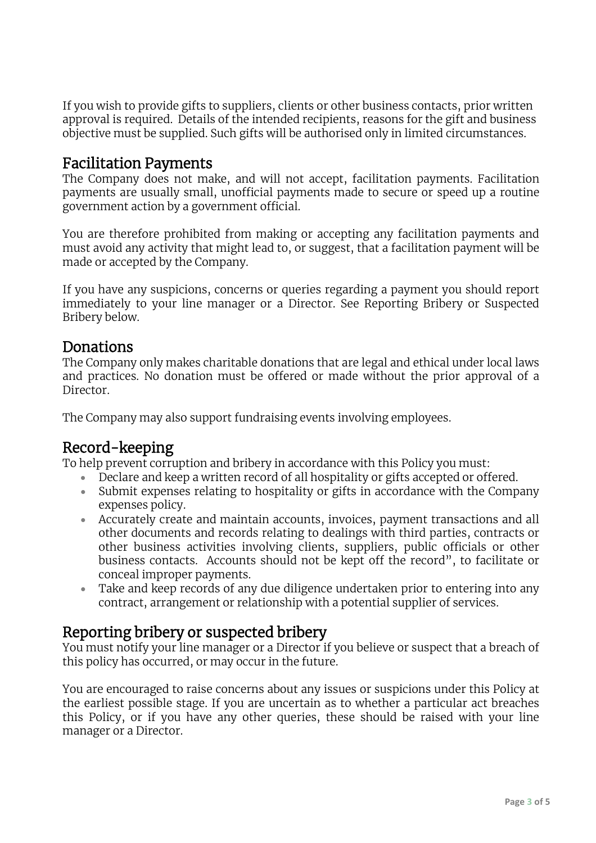If you wish to provide gifts to suppliers, clients or other business contacts, prior written approval is required. Details of the intended recipients, reasons for the gift and business objective must be supplied. Such gifts will be authorised only in limited circumstances.

### Facilitation Payments

The Company does not make, and will not accept, facilitation payments. Facilitation payments are usually small, unofficial payments made to secure or speed up a routine government action by a government official.

You are therefore prohibited from making or accepting any facilitation payments and must avoid any activity that might lead to, or suggest, that a facilitation payment will be made or accepted by the Company.

If you have any suspicions, concerns or queries regarding a payment you should report immediately to your line manager or a Director. See Reporting Bribery or Suspected Bribery below.

#### Donations

The Company only makes charitable donations that are legal and ethical under local laws and practices. No donation must be offered or made without the prior approval of a Director.

The Company may also support fundraising events involving employees.

# Record-keeping

To help prevent corruption and bribery in accordance with this Policy you must:

- Declare and keep a written record of all hospitality or gifts accepted or offered.
- Submit expenses relating to hospitality or gifts in accordance with the Company expenses policy.
- Accurately create and maintain accounts, invoices, payment transactions and all other documents and records relating to dealings with third parties, contracts or other business activities involving clients, suppliers, public officials or other business contacts. Accounts should not be kept off the record", to facilitate or conceal improper payments.
- Take and keep records of any due diligence undertaken prior to entering into any contract, arrangement or relationship with a potential supplier of services.

#### Reporting bribery or suspected bribery

You must notify your line manager or a Director if you believe or suspect that a breach of this policy has occurred, or may occur in the future.

You are encouraged to raise concerns about any issues or suspicions under this Policy at the earliest possible stage. If you are uncertain as to whether a particular act breaches this Policy, or if you have any other queries, these should be raised with your line manager or a Director.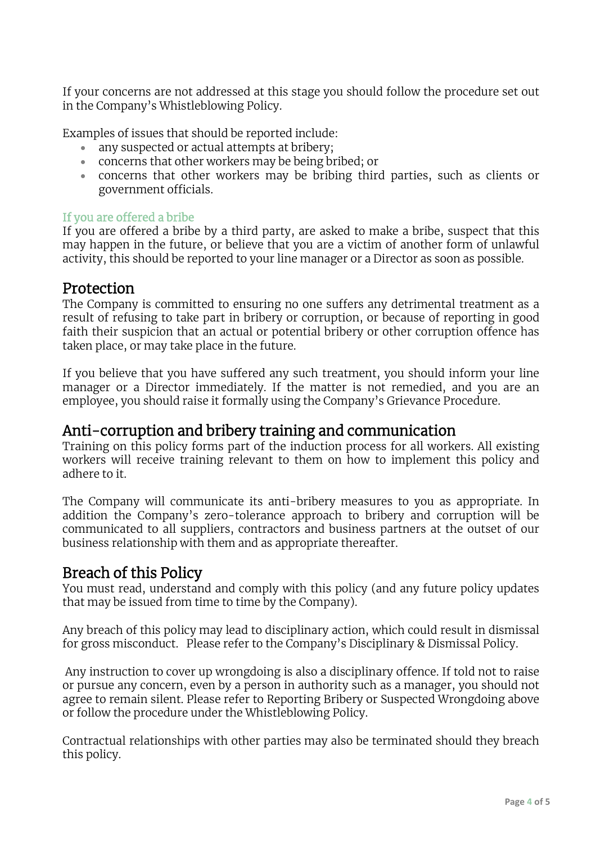If your concerns are not addressed at this stage you should follow the procedure set out in the Company's Whistleblowing Policy.

Examples of issues that should be reported include:

- any suspected or actual attempts at bribery;
- concerns that other workers may be being bribed; or
- concerns that other workers may be bribing third parties, such as clients or government officials.

#### If you are offered a bribe

If you are offered a bribe by a third party, are asked to make a bribe, suspect that this may happen in the future, or believe that you are a victim of another form of unlawful activity, this should be reported to your line manager or a Director as soon as possible.

#### Protection

The Company is committed to ensuring no one suffers any detrimental treatment as a result of refusing to take part in bribery or corruption, or because of reporting in good faith their suspicion that an actual or potential bribery or other corruption offence has taken place, or may take place in the future.

If you believe that you have suffered any such treatment, you should inform your line manager or a Director immediately. If the matter is not remedied, and you are an employee, you should raise it formally using the Company's Grievance Procedure.

#### Anti-corruption and bribery training and communication

Training on this policy forms part of the induction process for all workers. All existing workers will receive training relevant to them on how to implement this policy and adhere to it.

The Company will communicate its anti-bribery measures to you as appropriate. In addition the Company's zero-tolerance approach to bribery and corruption will be communicated to all suppliers, contractors and business partners at the outset of our business relationship with them and as appropriate thereafter.

### Breach of this Policy

You must read, understand and comply with this policy (and any future policy updates that may be issued from time to time by the Company).

Any breach of this policy may lead to disciplinary action, which could result in dismissal for gross misconduct. Please refer to the Company's Disciplinary & Dismissal Policy.

Any instruction to cover up wrongdoing is also a disciplinary offence. If told not to raise or pursue any concern, even by a person in authority such as a manager, you should not agree to remain silent. Please refer to Reporting Bribery or Suspected Wrongdoing above or follow the procedure under the Whistleblowing Policy.

Contractual relationships with other parties may also be terminated should they breach this policy.